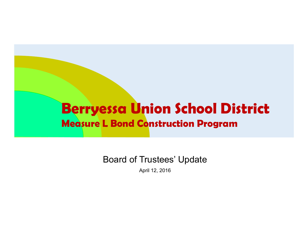#### **Berryessa Union School District Measure L Bond Construction Program**

Board of Trustees' Update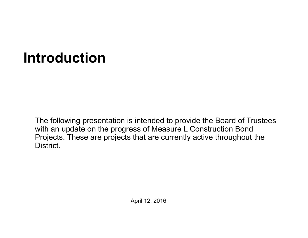## **Introduction**

The following presentation is intended to provide the Board of Trustees with an update on the progress of Measure L Construction Bond Projects. These are projects that are currently active throughout the District.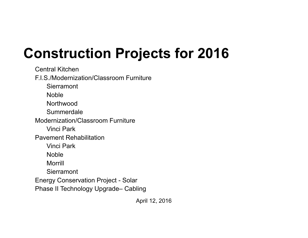# **Construction Projects for 2016**

Central KitchenF.I.S./Modernization/Classroom Furniture**Sierramont** Noble **Northwood** Summerdale Modernization/Classroom FurnitureVinci ParkPavement RehabilitationVinci ParkNobleMorrill**Sierramont** Energy Conservation Project - Solar Phase II Technology Upgrade– Cabling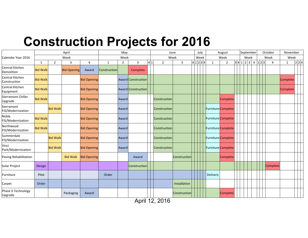#### **Construction Projects for 2016**

| Calendar Year 2016              |                 |                 | April              | May                |              |                |                    | June |                     |                |           | July | August |              |                    | September |      |  |             |  | October | November |              |       |  |
|---------------------------------|-----------------|-----------------|--------------------|--------------------|--------------|----------------|--------------------|------|---------------------|----------------|-----------|------|--------|--------------|--------------------|-----------|------|--|-------------|--|---------|----------|--------------|-------|--|
|                                 | Week            |                 |                    |                    | Week         |                |                    |      | Week                |                |           | Week |        | Week         |                    |           | Week |  |             |  |         | Week     | Week         |       |  |
|                                 | 1               | $\overline{2}$  | 3                  | 4                  | 1            | $\overline{2}$ | 3                  | 4 1  | $\overline{2}$      | $\overline{3}$ | 4 1 2 3 4 |      |        | $\mathbf{1}$ | $\overline{2}$     |           |      |  | 3 4 1 2 3 4 |  | 1 2 3   | 4        | $\mathbf{1}$ | 2 3 4 |  |
| Central Kitchen<br>Demolition   | <b>Bid Walk</b> |                 | <b>Bid Opening</b> | Award              | Construction |                | Complete           |      |                     |                |           |      |        |              |                    |           |      |  |             |  |         |          |              |       |  |
| Central Kitchen<br>Construction | <b>Bid Walk</b> |                 |                    | <b>Bid Opening</b> |              |                | Award Construction |      |                     |                |           |      |        |              |                    |           |      |  |             |  |         |          | Complete     |       |  |
| Central Kitchen<br>Equipment    | <b>Bid Walk</b> |                 |                    | <b>Bid Opening</b> |              |                | Award Construction |      |                     |                |           |      |        |              |                    |           |      |  |             |  |         |          | Complete     |       |  |
| Sierramont Chiller<br>Upgrade   | <b>Bid Walk</b> |                 |                    | <b>Bid Opening</b> |              | Award          |                    |      | Construction        |                |           |      |        |              | <b>Complete</b>    |           |      |  |             |  |         |          |              |       |  |
| Sierramont<br>FIS/Modernization |                 | <b>Bid Walk</b> |                    | <b>Bid Opening</b> |              | Award          |                    |      | Construction        |                |           |      |        |              | Furniture Complete |           |      |  |             |  |         |          |              |       |  |
| Noble<br>FIS/Modernization      | <b>Bid Walk</b> |                 |                    | <b>Bid Opening</b> |              | Award          |                    |      | Construction        |                |           |      |        |              | Furniture Complete |           |      |  |             |  |         |          |              |       |  |
| Northwood<br>FIS/Modernization  | <b>Bid Walk</b> |                 |                    | <b>Bid Opening</b> |              | Award          |                    |      | Construction        |                |           |      |        |              | Furniture Complete |           |      |  |             |  |         |          |              |       |  |
| Summerdale<br>FIS/Modernization |                 | <b>Bid Walk</b> |                    | <b>Bid Opening</b> |              | Award          |                    |      | Construction        |                |           |      |        |              | Furniture Complete |           |      |  |             |  |         |          |              |       |  |
| Vinci<br>Park/Modernization     |                 | <b>Bid Walk</b> |                    | <b>Bid Opening</b> |              | Award          |                    |      | <b>Construction</b> |                |           |      |        |              | Furniture Complete |           |      |  |             |  |         |          |              |       |  |
| Paving Rehabilitation           |                 |                 | <b>Bid Walk</b>    | <b>Bid Opening</b> |              |                | Award              |      |                     | Construction   |           |      |        |              | Complete           |           |      |  |             |  |         |          |              |       |  |
| Solar Project                   | Design          |                 |                    |                    |              |                | Construction       |      |                     |                |           |      |        |              |                    |           |      |  |             |  |         | Complete |              |       |  |
| Furniture                       | Pilot           |                 |                    |                    | Order        |                |                    |      |                     |                |           |      |        | Delivery     |                    |           |      |  |             |  |         |          |              |       |  |
| Carpet                          | Order           |                 |                    |                    |              |                |                    |      |                     | Installation   |           |      |        |              |                    |           |      |  |             |  |         |          |              |       |  |
| Phase II Technology<br>Upgrade  |                 |                 | Packaging          | Award              |              |                |                    |      |                     | Construction   |           |      |        |              | <b>Complete</b>    |           |      |  |             |  |         |          |              |       |  |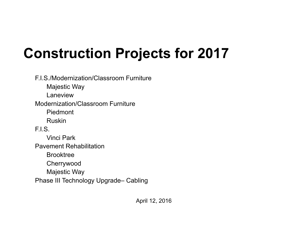## **Construction Projects for 2017**

F.I.S./Modernization/Classroom FurnitureMajestic Way LaneviewModernization/Classroom FurniturePiedmontRuskinF.I.S.Vinci ParkPavement RehabilitationBrooktreeCherrywood Majestic Way Phase III Technology Upgrade– Cabling